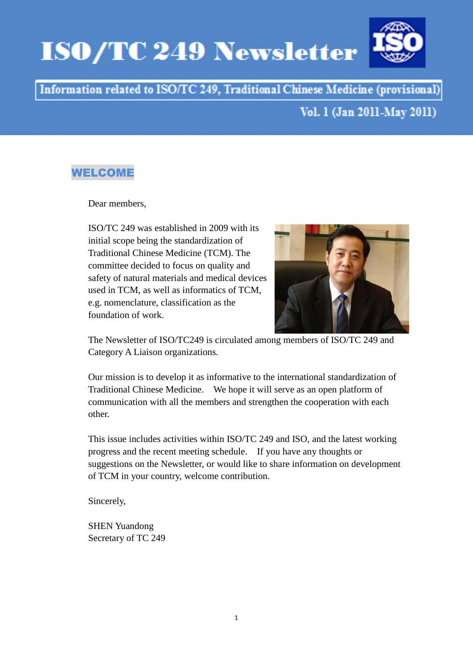# **ISO/TC 249 Newsletter**



# Information related to ISO/TC 249, Traditional Chinese Medicine (provisional)

# Vol. 1 (Jan 2011-May 2011)

## WELCOME

Dear members,

ISO/TC 249 was established in 2009 with its initial scope being the standardization of Traditional Chinese Medicine (TCM). The committee decided to focus on quality and safety of natural materials and medical devices used in TCM, as well as informatics of TCM, e.g. nomenclature, classification as the foundation of work.



The Newsletter of ISO/TC249 is circulated among members of ISO/TC 249 and Category A Liaison organizations.

Our mission is to develop it as informative to the international standardization of Traditional Chinese Medicine. We hope it will serve as an open platform of communication with all the members and strengthen the cooperation with each other.

This issue includes activities within ISO/TC 249 and ISO, and the latest working progress and the recent meeting schedule. If you have any thoughts or suggestions on the Newsletter, or would like to share information on development of TCM in your country, welcome contribution.

Sincerely,

SHEN Yuandong Secretary of TC 249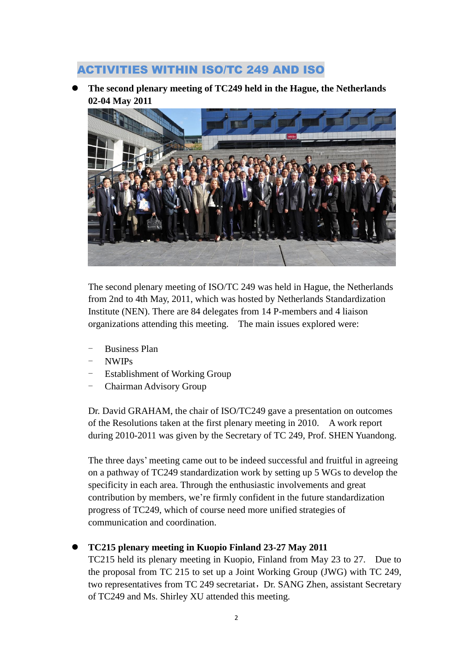## ACTIVITIES WITHIN ISO/TC 249 AND ISO

 **The second plenary meeting of TC249 held in the Hague, the Netherlands 02-04 May 2011**



The second plenary meeting of ISO/TC 249 was held in Hague, the Netherlands from 2nd to 4th May, 2011, which was hosted by Netherlands Standardization Institute (NEN). There are 84 delegates from 14 P-members and 4 liaison organizations attending this meeting. The main issues explored were:

- Business Plan
- NWIPs
- Establishment of Working Group
- Chairman Advisory Group

Dr. David GRAHAM, the chair of ISO/TC249 gave a presentation on outcomes of the Resolutions taken at the first plenary meeting in 2010. A work report during 2010-2011 was given by the Secretary of TC 249, Prof. SHEN Yuandong.

The three days' meeting came out to be indeed successful and fruitful in agreeing on a pathway of TC249 standardization work by setting up 5 WGs to develop the specificity in each area. Through the enthusiastic involvements and great contribution by members, we're firmly confident in the future standardization progress of TC249, which of course need more unified strategies of communication and coordination.

### **TC215 plenary meeting in Kuopio Finland 23-27 May 2011**

TC215 held its plenary meeting in Kuopio, Finland from May 23 to 27. Due to the proposal from TC 215 to set up a Joint Working Group (JWG) with TC 249, two representatives from TC 249 secretariat, Dr. SANG Zhen, assistant Secretary of TC249 and Ms. Shirley XU attended this meeting.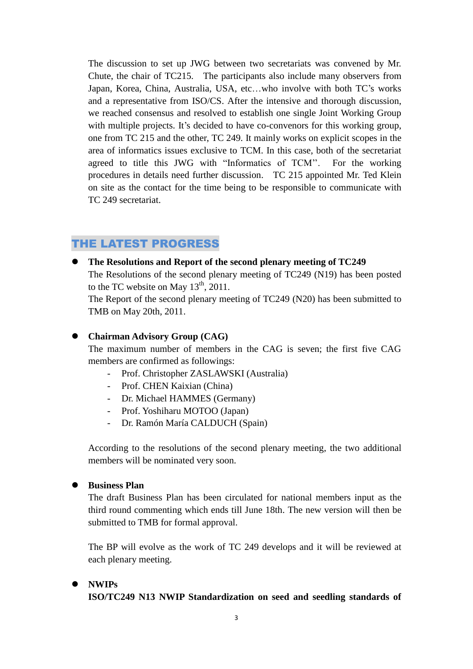The discussion to set up JWG between two secretariats was convened by Mr. Chute, the chair of TC215. The participants also include many observers from Japan, Korea, China, Australia, USA, etc…who involve with both TC's works and a representative from ISO/CS. After the intensive and thorough discussion, we reached consensus and resolved to establish one single Joint Working Group with multiple projects. It's decided to have co-convenors for this working group, one from TC 215 and the other, TC 249. It mainly works on explicit scopes in the area of informatics issues exclusive to TCM. In this case, both of the secretariat agreed to title this JWG with "Informatics of TCM''. For the working procedures in details need further discussion. TC 215 appointed Mr. Ted Klein on site as the contact for the time being to be responsible to communicate with TC 249 secretariat.

## THE LATEST PROGRESS

 **The Resolutions and Report of the second plenary meeting of TC249** The Resolutions of the second plenary meeting of TC249 (N19) has been posted to the TC website on May  $13<sup>th</sup>$ , 2011.

The Report of the second plenary meeting of TC249 (N20) has been submitted to TMB on May 20th, 2011.

#### **Chairman Advisory Group (CAG)**

The maximum number of members in the CAG is seven; the first five CAG members are confirmed as followings:

- Prof. Christopher ZASLAWSKI (Australia)
- Prof. CHEN Kaixian (China)
- Dr. Michael HAMMES (Germany)
- Prof. Yoshiharu MOTOO (Japan)
- Dr. Ramón Mar á CALDUCH (Spain)

According to the resolutions of the second plenary meeting, the two additional members will be nominated very soon.

#### **Business Plan**

The draft Business Plan has been circulated for national members input as the third round commenting which ends till June 18th. The new version will then be submitted to TMB for formal approval.

The BP will evolve as the work of TC 249 develops and it will be reviewed at each plenary meeting.

## **NWIPs ISO/TC249 N13 NWIP Standardization on seed and seedling standards of**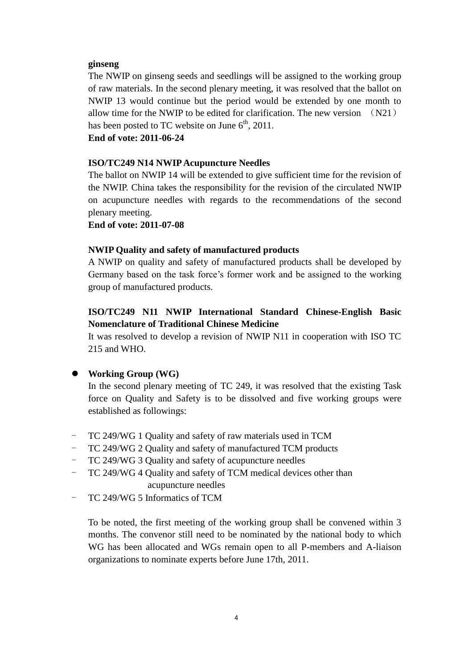#### **ginseng**

The NWIP on ginseng seeds and seedlings will be assigned to the working group of raw materials. In the second plenary meeting, it was resolved that the ballot on NWIP 13 would continue but the period would be extended by one month to allow time for the NWIP to be edited for clarification. The new version  $(N21)$ has been posted to TC website on June  $6<sup>th</sup>$ , 2011.

#### **End of vote: 2011-06-24**

#### **ISO/TC249 N14 NWIPAcupuncture Needles**

The ballot on NWIP 14 will be extended to give sufficient time for the revision of the NWIP. China takes the responsibility for the revision of the circulated NWIP on acupuncture needles with regards to the recommendations of the second plenary meeting.

**End of vote: 2011-07-08**

#### **NWIP Quality and safety of manufactured products**

A NWIP on quality and safety of manufactured products shall be developed by Germany based on the task force's former work and be assigned to the working group of manufactured products.

## **ISO/TC249 N11 NWIP International Standard Chinese-English Basic Nomenclature of Traditional Chinese Medicine**

It was resolved to develop a revision of NWIP N11 in cooperation with ISO TC 215 and WHO.

#### **Working Group (WG)**

In the second plenary meeting of TC 249, it was resolved that the existing Task force on Quality and Safety is to be dissolved and five working groups were established as followings:

- TC 249/WG 1 Quality and safety of raw materials used in TCM
- TC 249/WG 2 Quality and safety of manufactured TCM products
- TC 249/WG 3 Quality and safety of acupuncture needles
- TC 249/WG 4 Quality and safety of TCM medical devices other than acupuncture needles
- TC 249/WG 5 Informatics of TCM

To be noted, the first meeting of the working group shall be convened within 3 months. The convenor still need to be nominated by the national body to which WG has been allocated and WGs remain open to all P-members and A-liaison organizations to nominate experts before June 17th, 2011.